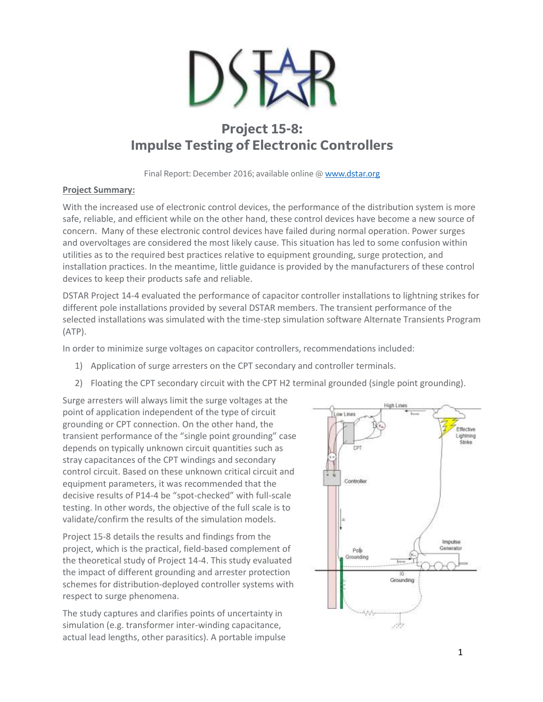

## **Project 15-8: Impulse Testing of Electronic Controllers**

Final Report: December 2016; available online @ [www.dstar.org](http://www.dstar.org/research/project/105/P15-8-impulse-testing-of-electronic-controllers)

## **Project Summary:**

With the increased use of electronic control devices, the performance of the distribution system is more safe, reliable, and efficient while on the other hand, these control devices have become a new source of concern. Many of these electronic control devices have failed during normal operation. Power surges and overvoltages are considered the most likely cause. This situation has led to some confusion within utilities as to the required best practices relative to equipment grounding, surge protection, and installation practices. In the meantime, little guidance is provided by the manufacturers of these control devices to keep their products safe and reliable.

DSTAR Project 14-4 evaluated the performance of capacitor controller installations to lightning strikes for different pole installations provided by several DSTAR members. The transient performance of the selected installations was simulated with the time-step simulation software Alternate Transients Program (ATP).

In order to minimize surge voltages on capacitor controllers, recommendations included:

- 1) Application of surge arresters on the CPT secondary and controller terminals.
- 2) Floating the CPT secondary circuit with the CPT H2 terminal grounded (single point grounding).

Surge arresters will always limit the surge voltages at the point of application independent of the type of circuit grounding or CPT connection. On the other hand, the transient performance of the "single point grounding" case depends on typically unknown circuit quantities such as stray capacitances of the CPT windings and secondary control circuit. Based on these unknown critical circuit and equipment parameters, it was recommended that the decisive results of P14-4 be "spot-checked" with full-scale testing. In other words, the objective of the full scale is to validate/confirm the results of the simulation models.

Project 15-8 details the results and findings from the project, which is the practical, field-based complement of the theoretical study of Project 14-4. This study evaluated the impact of different grounding and arrester protection schemes for distribution-deployed controller systems with respect to surge phenomena.

The study captures and clarifies points of uncertainty in simulation (e.g. transformer inter-winding capacitance, actual lead lengths, other parasitics). A portable impulse